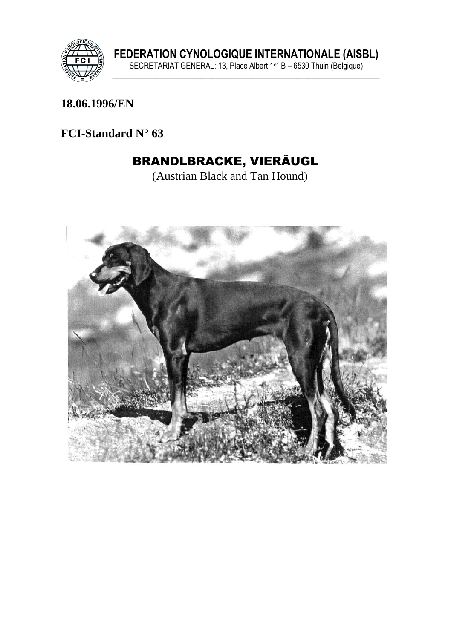

#### 18.06.1996/EN

#### FCI-Standard  $N^{\circ}$  63

# **BRANDLBRACKE, VIERÄUGL**

(Austrian Black and Tan Hound)

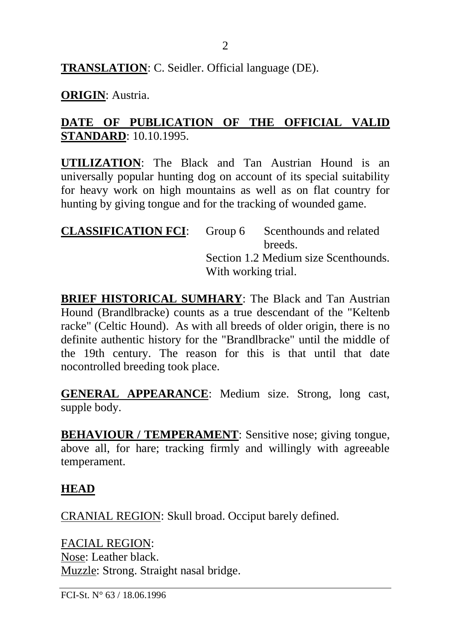**TRANSLATION**: C. Seidler. Official language (DE).

#### **ORIGIN**: Austria.

#### **DATE OF PUBLICATION OF THE OFFICIAL VALID STANDARD**: 10.10.1995.

**UTILIZATION**: The Black and Tan Austrian Hound is an universally popular hunting dog on account of its special suitability for heavy work on high mountains as well as on flat country for hunting by giving tongue and for the tracking of wounded game.

| <b>CLASSIFICATION FCI:</b> |                                      | Group 6 Scenthounds and related |
|----------------------------|--------------------------------------|---------------------------------|
|                            |                                      | breeds.                         |
|                            | Section 1.2 Medium size Scenthounds. |                                 |
|                            | With working trial.                  |                                 |

**BRIEF HISTORICAL SUMHARY**: The Black and Tan Austrian Hound (Brandlbracke) counts as a true descendant of the "Keltenb racke" (Celtic Hound). As with all breeds of older origin, there is no definite authentic history for the "Brandlbracke" until the middle of the 19th century. The reason for this is that until that date nocontrolled breeding took place.

**GENERAL APPEARANCE**: Medium size. Strong, long cast, supple body.

**BEHAVIOUR / TEMPERAMENT:** Sensitive nose; giving tongue, above all, for hare; tracking firmly and willingly with agreeable temperament.

#### **HEAD**

CRANIAL REGION: Skull broad. Occiput barely defined.

FACIAL REGION: Nose: Leather black. Muzzle: Strong. Straight nasal bridge.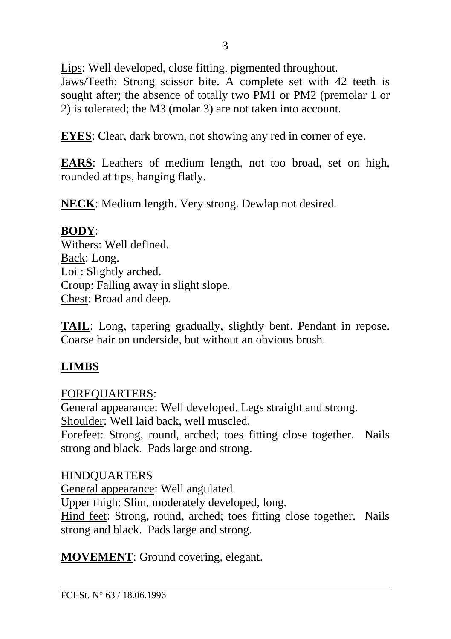Lips: Well developed, close fitting, pigmented throughout.

Jaws/Teeth: Strong scissor bite. A complete set with 42 teeth is sought after; the absence of totally two PM1 or PM2 (premolar 1 or 2) is tolerated; the M3 (molar 3) are not taken into account.

**EYES**: Clear, dark brown, not showing any red in corner of eye.

**EARS**: Leathers of medium length, not too broad, set on high, rounded at tips, hanging flatly.

**NECK**: Medium length. Very strong. Dewlap not desired.

#### **BODY**:

Withers: Well defined. Back: Long. Loi : Slightly arched. Croup: Falling away in slight slope. Chest: Broad and deep.

**TAIL**: Long, tapering gradually, slightly bent. Pendant in repose. Coarse hair on underside, but without an obvious brush.

### **LIMBS**

FOREQUARTERS: General appearance: Well developed. Legs straight and strong. Shoulder: Well laid back, well muscled. Forefeet: Strong, round, arched; toes fitting close together. Nails strong and black. Pads large and strong.

#### HINDQUARTERS

General appearance: Well angulated.

Upper thigh: Slim, moderately developed, long.

Hind feet: Strong, round, arched; toes fitting close together. Nails strong and black. Pads large and strong.

**MOVEMENT**: Ground covering, elegant.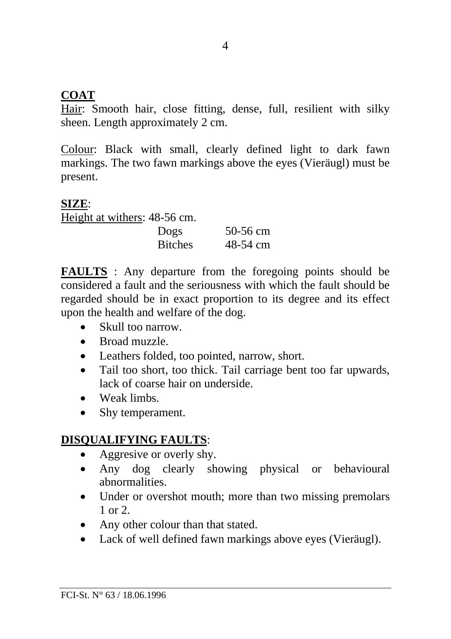#### **COAT**

Hair: Smooth hair, close fitting, dense, full, resilient with silky sheen. Length approximately 2 cm.

Colour: Black with small, clearly defined light to dark fawn markings. The two fawn markings above the eyes (Vieräugl) must be present.

#### **SIZE**:

Height at withers: 48-56 cm.

| ro oo chh.     |          |
|----------------|----------|
| Dogs           | 50-56 cm |
| <b>Bitches</b> | 48-54 cm |

**FAULTS** : Any departure from the foregoing points should be considered a fault and the seriousness with which the fault should be regarded should be in exact proportion to its degree and its effect upon the health and welfare of the dog.

- Skull too narrow.
- Broad muzzle.
- Leathers folded, too pointed, narrow, short.
- Tail too short, too thick. Tail carriage bent too far upwards, lack of coarse hair on underside.
- Weak limbs
- Shy temperament.

## **DISQUALIFYING FAULTS**:

- Aggresive or overly shy.
- Any dog clearly showing physical or behavioural abnormalities.
- Under or overshot mouth; more than two missing premolars 1 or 2.
- Any other colour than that stated.
- Lack of well defined fawn markings above eyes (Vieräugl).